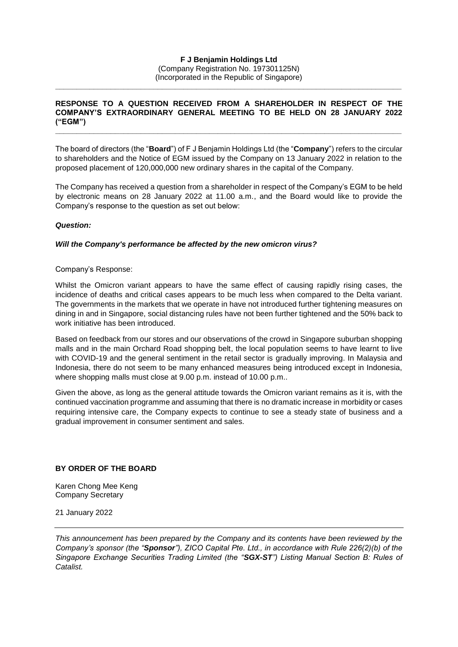#### **F J Benjamin Holdings Ltd** (Company Registration No. 197301125N)

(Incorporated in the Republic of Singapore) **\_\_\_\_\_\_\_\_\_\_\_\_\_\_\_\_\_\_\_\_\_\_\_\_\_\_\_\_\_\_\_\_\_\_\_\_\_\_\_\_\_\_\_\_\_\_\_\_\_\_\_\_\_\_\_\_\_\_\_\_\_\_\_\_\_\_\_\_\_\_\_\_\_\_\_\_\_\_\_\_\_**

## **RESPONSE TO A QUESTION RECEIVED FROM A SHAREHOLDER IN RESPECT OF THE COMPANY'S EXTRAORDINARY GENERAL MEETING TO BE HELD ON 28 JANUARY 2022 ("EGM") \_\_\_\_\_\_\_\_\_\_\_\_\_\_\_\_\_\_\_\_\_\_\_\_\_\_\_\_\_\_\_\_\_\_\_\_\_\_\_\_\_\_\_\_\_\_\_\_\_\_\_\_\_\_\_\_\_\_\_\_\_\_\_\_\_\_\_\_\_\_\_\_\_\_\_\_\_\_\_\_\_**

The board of directors (the "**Board**") of F J Benjamin Holdings Ltd (the "**Company**") refers to the circular to shareholders and the Notice of EGM issued by the Company on 13 January 2022 in relation to the proposed placement of 120,000,000 new ordinary shares in the capital of the Company.

The Company has received a question from a shareholder in respect of the Company's EGM to be held by electronic means on 28 January 2022 at 11.00 a.m., and the Board would like to provide the Company's response to the question as set out below:

# *Question:*

## *Will the Company's performance be affected by the new omicron virus?*

#### Company's Response:

Whilst the Omicron variant appears to have the same effect of causing rapidly rising cases, the incidence of deaths and critical cases appears to be much less when compared to the Delta variant. The governments in the markets that we operate in have not introduced further tightening measures on dining in and in Singapore, social distancing rules have not been further tightened and the 50% back to work initiative has been introduced.

Based on feedback from our stores and our observations of the crowd in Singapore suburban shopping malls and in the main Orchard Road shopping belt, the local population seems to have learnt to live with COVID-19 and the general sentiment in the retail sector is gradually improving. In Malaysia and Indonesia, there do not seem to be many enhanced measures being introduced except in Indonesia, where shopping malls must close at 9.00 p.m. instead of 10.00 p.m..

Given the above, as long as the general attitude towards the Omicron variant remains as it is, with the continued vaccination programme and assuming that there is no dramatic increase in morbidity or cases requiring intensive care, the Company expects to continue to see a steady state of business and a gradual improvement in consumer sentiment and sales.

# **BY ORDER OF THE BOARD**

Karen Chong Mee Keng Company Secretary

21 January 2022

*This announcement has been prepared by the Company and its contents have been reviewed by the Company's sponsor (the "Sponsor"), ZICO Capital Pte. Ltd., in accordance with Rule 226(2)(b) of the Singapore Exchange Securities Trading Limited (the "SGX-ST") Listing Manual Section B: Rules of Catalist.*